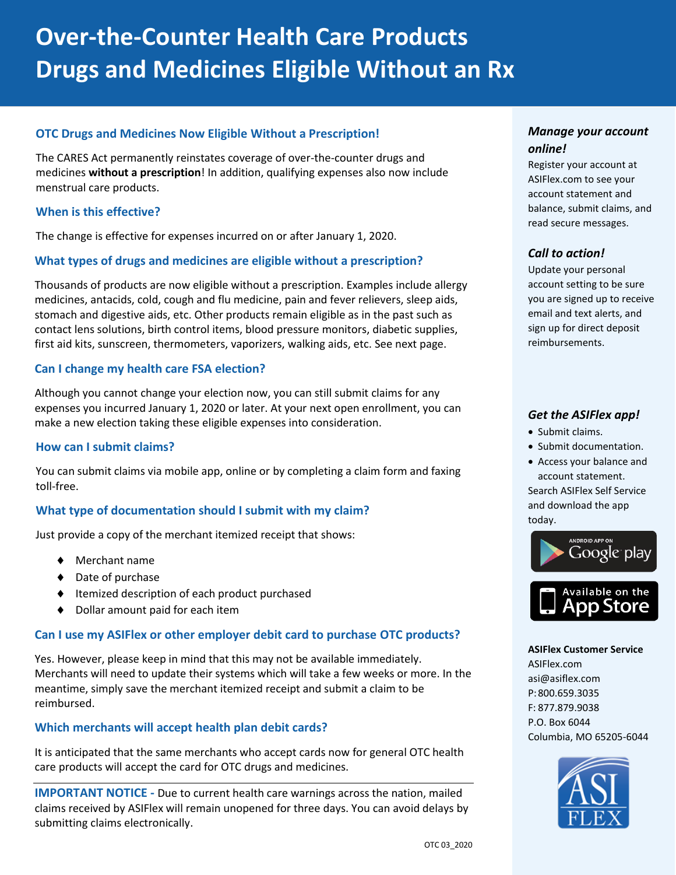#### **OTC Drugs and Medicines Now Eligible Without a Prescription!**

The CARES Act permanently reinstates coverage of over-the-counter drugs and medicines **without a prescription**! In addition, qualifying expenses also now include menstrual care products.

#### **When is this effective?**

The change is effective for expenses incurred on or after January 1, 2020.

#### **What types of drugs and medicines are eligible without a prescription?**

Thousands of products are now eligible without a prescription. Examples include allergy medicines, antacids, cold, cough and flu medicine, pain and fever relievers, sleep aids, stomach and digestive aids, etc. Other products remain eligible as in the past such as contact lens solutions, birth control items, blood pressure monitors, diabetic supplies, first aid kits, sunscreen, thermometers, vaporizers, walking aids, etc. See next page.

#### **Can I change my health care FSA election?**

Although you cannot change your election now, you can still submit claims for any expenses you incurred January 1, 2020 or later. At your next open enrollment, you can make a new election taking these eligible expenses into consideration.

#### **How can I submit claims?**

You can submit claims via mobile app, online or by completing a claim form and faxing toll-free.

#### **What type of documentation should I submit with my claim?**

Just provide a copy of the merchant itemized receipt that shows:

- Merchant name
- ◆ Date of purchase
- ◆ Itemized description of each product purchased
- ◆ Dollar amount paid for each item

#### **Can I use my ASIFlex or other employer debit card to purchase OTC products?**

Yes. However, please keep in mind that this may not be available immediately. Merchants will need to update their systems which will take a few weeks or more. In the meantime, simply save the merchant itemized receipt and submit a claim to be reimbursed.

#### **Which merchants will accept health plan debit cards?**

It is anticipated that the same merchants who accept cards now for general OTC health care products will accept the card for OTC drugs and medicines.

**IMPORTANT NOTICE -** Due to current health care warnings across the nation, mailed claims received by ASIFlex will remain unopened for three days. You can avoid delays by submitting claims electronically.

#### *Manage your account online!*

Register your account at ASIFlex.com to see your account statement and balance, submit claims, and read secure messages.

#### *Call to action!*

Update your personal account setting to be sure you are signed up to receive email and text alerts, and sign up for direct deposit reimbursements.

#### *Get the ASIFlex app!*

- Submit claims.
- Submit documentation.
- Access your balance and account statement.

Search ASIFlex Self Service and download the app today.



#### **ASIFlex Customer Service**

ASIFlex.com asi@asiflex.com P:800.659.3035 F: 877.879.9038 P.O. Box 6044 Columbia, MO 65205-6044